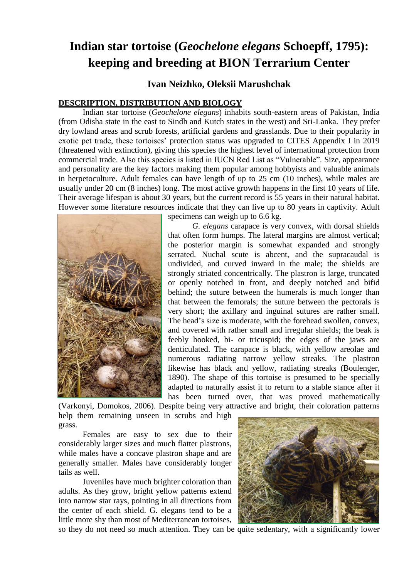# **Indian star tortoise (***Geochelone elegans* **Schoepff, 1795): keeping and breeding at BION Terrarium Center**

## **Ivan Neizhko, Oleksii Marushchak**

#### **DESCRIPTION, DISTRIBUTION AND BIOLOGY**

Indian star tortoise (*Geochelone elegans*) inhabits south-eastern areas of Pakistan, India (from Odisha state in the east to Sindh and Kutch states in the west) and Sri-Lanka. They prefer dry lowland areas and scrub forests, artificial gardens and grasslands. Due to their popularity in exotic pet trade, these tortoises' protection status was upgraded to CITES Appendix I in 2019 (threatened with extinction), giving this species the highest level of international protection from commercial trade. Also this species is listed in IUCN Red List as "Vulnerable". Size, appearance and personality are the key factors making them popular among hobbyists and valuable animals in herpetoculture. Adult females can have length of up to 25 cm (10 inches), while males are usually under 20 cm (8 inches) long. The most active growth happens in the first 10 years of life. Their average lifespan is about 30 years, but the current record is 55 years in their natural habitat. However some literature resources indicate that they can live up to 80 years in captivity. Adult



specimens can weigh up to 6.6 kg.

*G. elegans* carapace is very convex, with dorsal shields that often form humps. The lateral margins are almost vertical; the posterior margin is somewhat expanded and strongly serrated. Nuchal scute is abcent, and the supracaudal is undivided, and curved inward in the male; the shields are strongly striated concentrically. The plastron is large, truncated or openly notched in front, and deeply notched and bifid behind; the suture between the humerals is much longer than that between the femorals; the suture between the pectorals is very short; the axillary and inguinal sutures are rather small. The head's size is moderate, with the forehead swollen, convex, and covered with rather small and irregular shields; the beak is feebly hooked, bi- or tricuspid; the edges of the jaws are denticulated. The carapace is black, with yellow areolae and numerous radiating narrow yellow streaks. The plastron likewise has black and yellow, radiating streaks (Boulenger, 1890). The shape of this tortoise is presumed to be specially adapted to naturally assist it to return to a stable stance after it has been turned over, that was proved mathematically

(Varkonyi, Domokos, 2006). Despite being very attractive and bright, their coloration patterns help them remaining unseen in scrubs and high grass.

Females are easy to sex due to their considerably larger sizes and much flatter plastrons, while males have a concave plastron shape and are generally smaller. Males have considerably longer tails as well.

Juveniles have much brighter coloration than adults. As they grow, bright yellow patterns extend into narrow star rays, pointing in all directions from the center of each shield. G. elegans tend to be a little more shy than most of Mediterranean tortoises,



so they do not need so much attention. They can be quite sedentary, with a significantly lower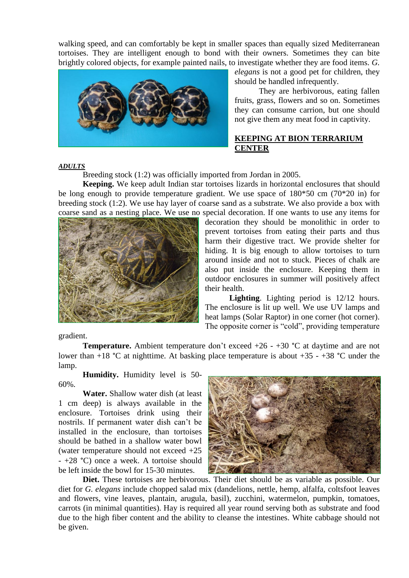walking speed, and can comfortably be kept in smaller spaces than equally sized Mediterranean tortoises. They are intelligent enough to bond with their owners. Sometimes they can bite brightly colored objects, for example painted nails, to investigate whether they are food items. *G.* 



*elegans* is not a good pet for children, they should be handled infrequently.

They are herbivorous, eating fallen fruits, grass, flowers and so on. Sometimes they can consume carrion, but one should not give them any meat food in captivity.

#### **KEEPING AT BION TERRARIUM CENTER**

#### *ADULTS*

Breeding stock (1:2) was officially imported from Jordan in 2005.

**Keeping.** We keep adult Indian star tortoises lizards in horizontal enclosures that should be long enough to provide temperature gradient. We use space of 180\*50 cm (70\*20 in) for breeding stock (1:2). We use hay layer of coarse sand as a substrate. We also provide a box with coarse sand as a nesting place. We use no special decoration. If one wants to use any items for



decoration they should be monolithic in order to prevent tortoises from eating their parts and thus harm their digestive tract. We provide shelter for hiding. It is big enough to allow tortoises to turn around inside and not to stuck. Pieces of chalk are also put inside the enclosure. Keeping them in outdoor enclosures in summer will positively affect their health.

**Lighting**. Lighting period is 12/12 hours. The enclosure is lit up well. We use UV lamps and heat lamps (Solar Raptor) in one corner (hot corner). The opposite corner is "cold", providing temperature

gradient.

**Temperature.** Ambient temperature don't exceed  $+26 - +30$  °C at daytime and are not lower than  $+18$  °C at nighttime. At basking place temperature is about  $+35 - +38$  °C under the lamp.

**Humidity.** Humidity level is 50- 60%.

**Water.** Shallow water dish (at least 1 cm deep) is always available in the enclosure. Tortoises drink using their nostrils. If permanent water dish can't be installed in the enclosure, than tortoises should be bathed in a shallow water bowl (water temperature should not exceed +25 - +28 °C) once a week. A tortoise should be left inside the bowl for 15-30 minutes.



**Diet.** These tortoises are herbivorous. Their diet should be as variable as possible. Our diet for *G. elegans* include chopped salad mix (dandelions, nettle, hemp, alfalfa, coltsfoot leaves and flowers, vine leaves, plantain, arugula, basil), zucchini, watermelon, pumpkin, tomatoes, carrots (in minimal quantities). Hay is required all year round serving both as substrate and food due to the high fiber content and the ability to cleanse the intestines. White cabbage should not be given.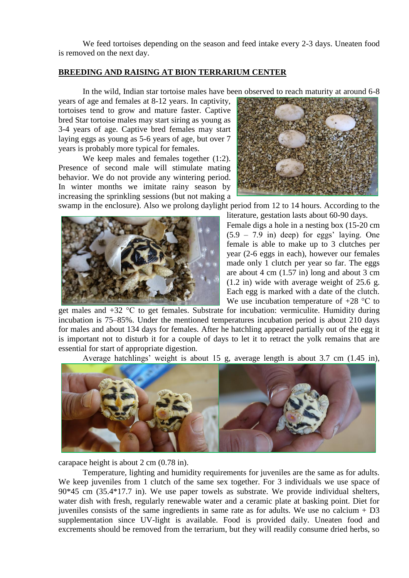We feed tortoises depending on the season and feed intake every 2-3 days. Uneaten food is removed on the next day.

#### **BREEDING AND RAISING AT BION TERRARIUM CENTER**

In the wild, Indian star tortoise males have been observed to reach maturity at around 6-8

years of age and females at 8-12 years. In captivity, tortoises tend to grow and mature faster. Captive bred Star tortoise males may start siring as young as 3-4 years of age. Captive bred females may start laying eggs as young as 5-6 years of age, but over 7 years is probably more typical for females.

We keep males and females together  $(1:2)$ . Presence of second male will stimulate mating behavior. We do not provide any wintering period. In winter months we imitate rainy season by increasing the sprinkling sessions (but not making a



swamp in the enclosure). Also we prolong daylight period from 12 to 14 hours. According to the literature, gestation lasts about 60-90 days.



Female digs a hole in a nesting box (15-20 cm  $(5.9 - 7.9)$  in) deep) for eggs' laying. One female is able to make up to 3 clutches per year (2-6 eggs in each), however our females made only 1 clutch per year so far. The eggs are about  $4 \text{ cm } (1.57 \text{ in})$  long and about  $3 \text{ cm}$ (1.2 in) wide with average weight of 25.6 g. Each egg is marked with a date of the clutch. We use incubation temperature of  $+28$  °C to

get males and +32 °С to get females. Substrate for incubation: vermiculite. Humidity during incubation is 75–85%. Under the mentioned temperatures incubation period is about 210 days for males and about 134 days for females. After he hatchling appeared partially out of the egg it is important not to disturb it for a couple of days to let it to retract the yolk remains that are essential for start of appropriate digestion.

Average hatchlings' weight is about 15 g, average length is about 3.7 cm (1.45 in),



carapace height is about 2 cm (0.78 in).

Temperature, lighting and humidity requirements for juveniles are the same as for adults. We keep juveniles from 1 clutch of the same sex together. For 3 individuals we use space of 90\*45 cm (35.4\*17.7 in). We use paper towels as substrate. We provide individual shelters, water dish with fresh, regularly renewable water and a ceramic plate at basking point. Diet for juveniles consists of the same ingredients in same rate as for adults. We use no calcium + D3 supplementation since UV-light is available. Food is provided daily. Uneaten food and excrements should be removed from the terrarium, but they will readily consume dried herbs, so